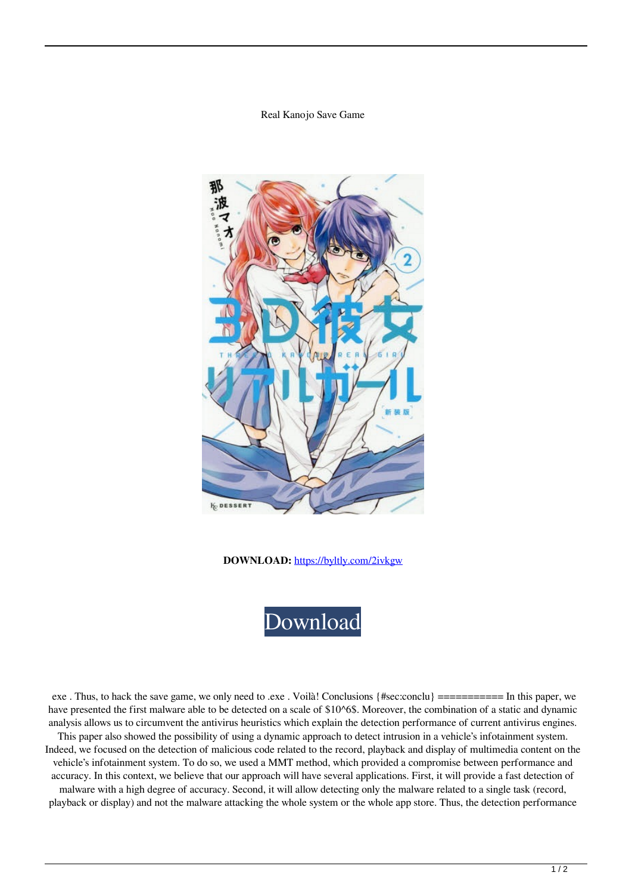## Real Kanojo Save Game



**DOWNLOAD:** <https://byltly.com/2ivkgw>



 exe . Thus, to hack the save game, we only need to .exe . Voilà! Conclusions {#sec:conclu} =========== In this paper, we have presented the first malware able to be detected on a scale of \$10^6\$. Moreover, the combination of a static and dynamic analysis allows us to circumvent the antivirus heuristics which explain the detection performance of current antivirus engines.

This paper also showed the possibility of using a dynamic approach to detect intrusion in a vehicle's infotainment system. Indeed, we focused on the detection of malicious code related to the record, playback and display of multimedia content on the vehicle's infotainment system. To do so, we used a MMT method, which provided a compromise between performance and accuracy. In this context, we believe that our approach will have several applications. First, it will provide a fast detection of malware with a high degree of accuracy. Second, it will allow detecting only the malware related to a single task (record, playback or display) and not the malware attacking the whole system or the whole app store. Thus, the detection performance